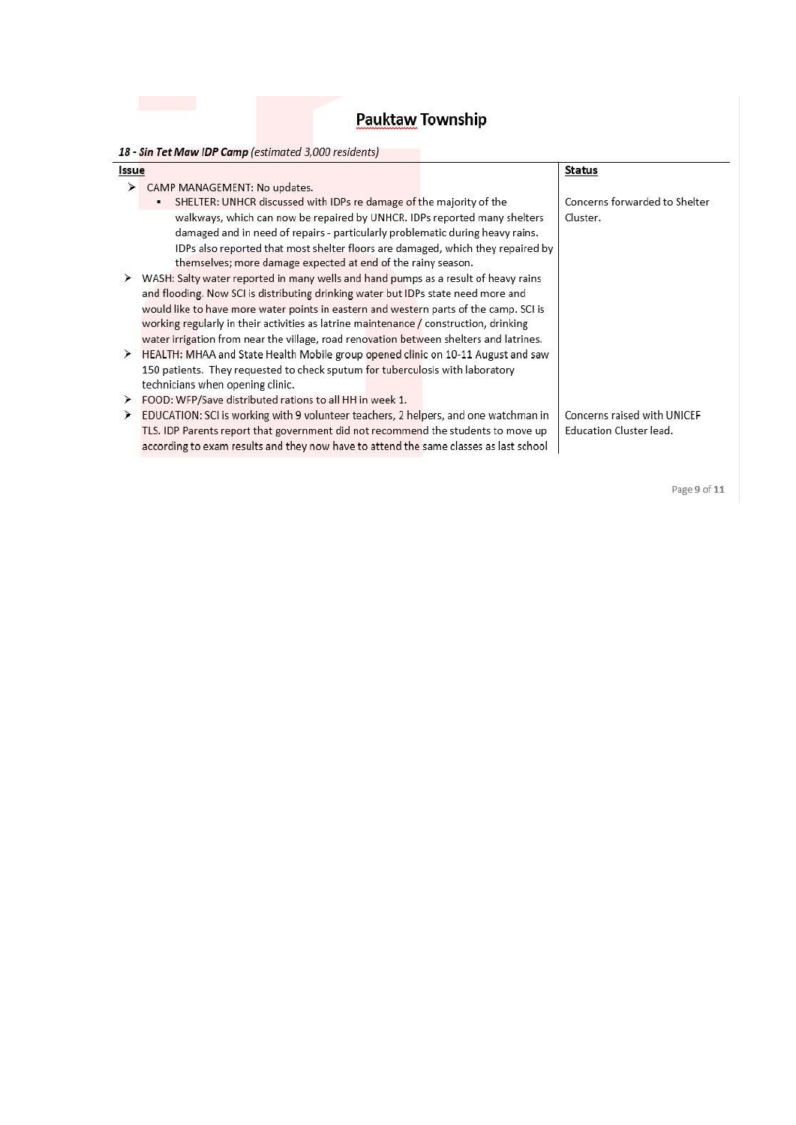| Issue |                                                                                                                                                                                                                                                                                                                                                                                                                                                     | <b>Status</b>                                          |
|-------|-----------------------------------------------------------------------------------------------------------------------------------------------------------------------------------------------------------------------------------------------------------------------------------------------------------------------------------------------------------------------------------------------------------------------------------------------------|--------------------------------------------------------|
| ⋗     | CAMP MANAGEMENT: No updates.<br>SHELTER: UNHCR discussed with IDPs re damage of the majority of the<br>٠,                                                                                                                                                                                                                                                                                                                                           | Concerns forwarded to Shelter                          |
|       | walkways, which can now be repaired by UNHCR. IDPs reported many shelters<br>damaged and in need of repairs - particularly problematic during heavy rains.<br>IDPs also reported that most shelter floors are damaged, which they repaired by<br>themselves; more damage expected at end of the rainy season.                                                                                                                                       | Cluster.                                               |
|       | WASH: Salty water reported in many wells and hand pumps as a result of heavy rains<br>and flooding. Now SCI is distributing drinking water but IDPs state need more and<br>would like to have more water points in eastern and western parts of the camp. SCI is<br>working regularly in their activities as latrine maintenance / construction, drinking<br>water irrigation from near the village, road renovation between shelters and latrines. |                                                        |
| ⋗     | HEALTH: MHAA and State Health Mobile group opened clinic on 10-11 August and saw<br>150 patients. They requested to check sputum for tuberculosis with laboratory<br>technicians when opening clinic.                                                                                                                                                                                                                                               |                                                        |
| ⊁     | FOOD: WFP/Save distributed rations to all HH in week 1.                                                                                                                                                                                                                                                                                                                                                                                             |                                                        |
| ⊁     | EDUCATION: SCI is working with 9 volunteer teachers, 2 helpers, and one watchman in<br>TLS. IDP Parents report that government did not recommend the students to move up<br>according to exam results and they now have to attend the same classes as last school                                                                                                                                                                                   | Concerns raised with UNICEF<br>Education Cluster lead. |

Page 9 of 11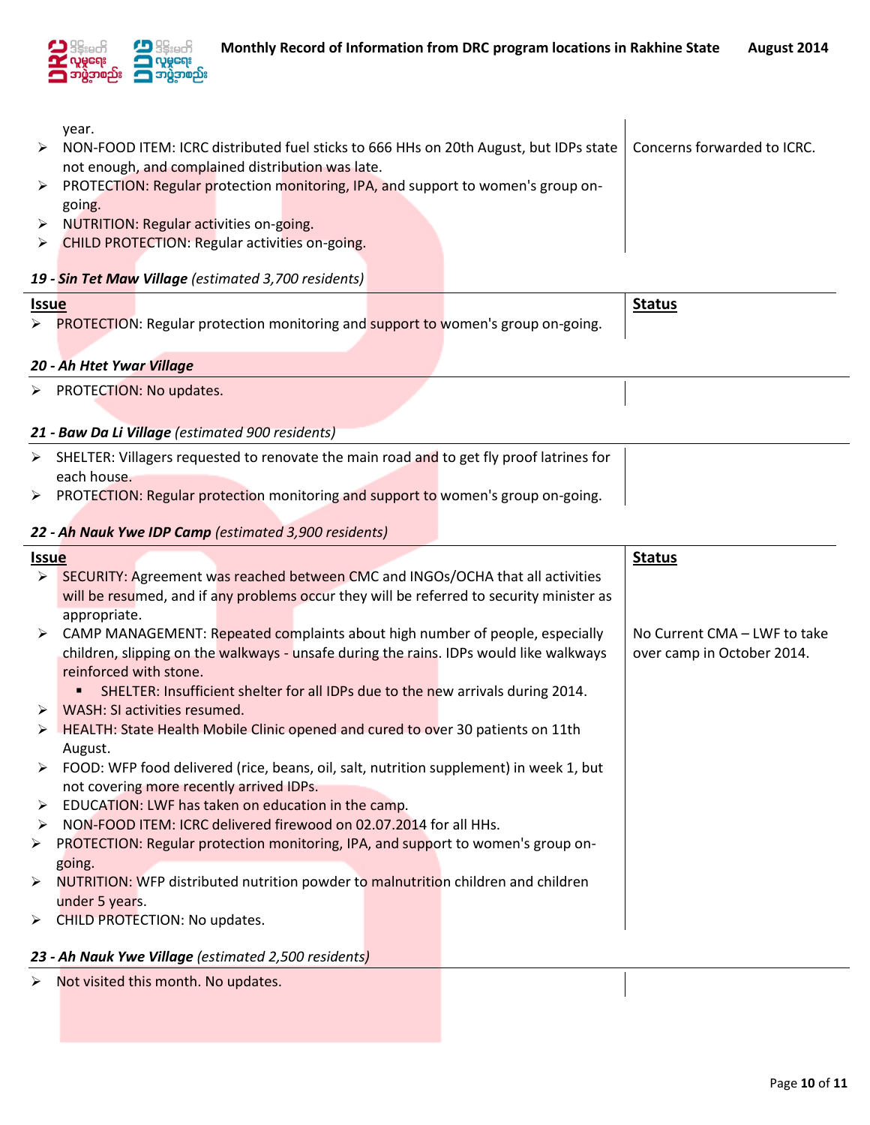

|                                                  | year.                                                                                                    |                              |  |  |  |  |  |  |
|--------------------------------------------------|----------------------------------------------------------------------------------------------------------|------------------------------|--|--|--|--|--|--|
| ⋗                                                | NON-FOOD ITEM: ICRC distributed fuel sticks to 666 HHs on 20th August, but IDPs state                    | Concerns forwarded to ICRC.  |  |  |  |  |  |  |
|                                                  | not enough, and complained distribution was late.                                                        |                              |  |  |  |  |  |  |
| ➤                                                | PROTECTION: Regular protection monitoring, IPA, and support to women's group on-                         |                              |  |  |  |  |  |  |
|                                                  | going.                                                                                                   |                              |  |  |  |  |  |  |
| $\blacktriangleright$                            | <b>NUTRITION: Regular activities on-going.</b>                                                           |                              |  |  |  |  |  |  |
| ➤                                                | <b>CHILD PROTECTION: Regular activities on-going.</b>                                                    |                              |  |  |  |  |  |  |
|                                                  |                                                                                                          |                              |  |  |  |  |  |  |
|                                                  | 19 - Sin Tet Maw Village (estimated 3,700 residents)                                                     |                              |  |  |  |  |  |  |
| <b>Issue</b>                                     |                                                                                                          | <b>Status</b>                |  |  |  |  |  |  |
|                                                  | ▶ PROTECTION: Regular protection monitoring and support to women's group on-going.                       |                              |  |  |  |  |  |  |
|                                                  |                                                                                                          |                              |  |  |  |  |  |  |
|                                                  | 20 - Ah Htet Ywar Village                                                                                |                              |  |  |  |  |  |  |
|                                                  | > PROTECTION: No updates.                                                                                |                              |  |  |  |  |  |  |
|                                                  |                                                                                                          |                              |  |  |  |  |  |  |
| 21 - Baw Da Li Village (estimated 900 residents) |                                                                                                          |                              |  |  |  |  |  |  |
|                                                  |                                                                                                          |                              |  |  |  |  |  |  |
|                                                  |                                                                                                          |                              |  |  |  |  |  |  |
|                                                  | > SHELTER: Villagers requested to renovate the main road and to get fly proof latrines for               |                              |  |  |  |  |  |  |
|                                                  | each house.                                                                                              |                              |  |  |  |  |  |  |
|                                                  | > PROTECTION: Regular protection monitoring and support to women's group on-going.                       |                              |  |  |  |  |  |  |
|                                                  | 22 - Ah Nauk Ywe IDP Camp (estimated 3,900 residents)                                                    |                              |  |  |  |  |  |  |
| <b>Issue</b>                                     |                                                                                                          | <b>Status</b>                |  |  |  |  |  |  |
| $\blacktriangleright$                            | SECURITY: Agreement was reached between CMC and INGOs/OCHA that all activities                           |                              |  |  |  |  |  |  |
|                                                  |                                                                                                          |                              |  |  |  |  |  |  |
|                                                  | will be resumed, and if any problems occur they will be referred to security minister as<br>appropriate. |                              |  |  |  |  |  |  |
|                                                  | CAMP MANAGEMENT: Repeated complaints about high number of people, especially                             | No Current CMA - LWF to take |  |  |  |  |  |  |
|                                                  | children, slipping on the walkways - unsafe during the rains. IDPs would like walkways                   | over camp in October 2014.   |  |  |  |  |  |  |
|                                                  | reinforced with stone.                                                                                   |                              |  |  |  |  |  |  |
|                                                  | SHELTER: Insufficient shelter for all IDPs due to the new arrivals during 2014.                          |                              |  |  |  |  |  |  |
|                                                  | WASH: SI activities resumed.                                                                             |                              |  |  |  |  |  |  |

- $\triangleright$  HEALTH: State Health Mobile Clinic opened and cured to over 30 patients on 11th August.
- FOOD: WFP food delivered (rice, beans, oil, salt, nutrition supplement) in week 1, but not covering more recently arrived IDPs.
- EDUCATION: LWF has taken on education in the camp.
- > NON-FOOD ITEM: ICRC delivered firewood on 02.07.2014 for all HHs.
- PROTECTION: Regular protection monitoring, IPA, and support to women's group ongoing.
- > NUTRITION: WFP distributed nutrition powder to malnutrition children and children under 5 years.
- > CHILD PROTECTION: No updates.

## *23 - Ah Nauk Ywe Village (estimated 2,500 residents)*

 $\triangleright$  Not visited this month. No updates.